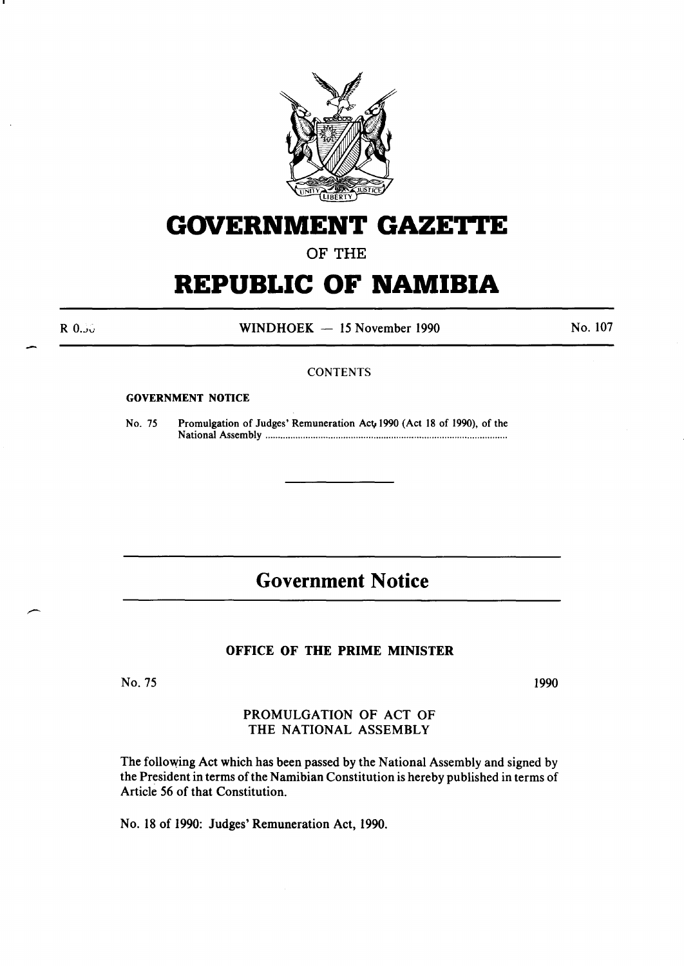

# **GOVERNMENT GAZETTE**

OF THE

# **REPUBLIC OF NAMIBIA**

R O.Jv

 $WINDHOEK - 15$  November 1990

No. 107

#### **CONTENTS**

#### GOVERNMENT NOTICE

No. 75 Promulgation of Judges' Remuneration Act 1990 (Act 18 of 1990), of the National Assembly ............................................................................................... .

## **Government Notice**

#### OFFICE OF THE PRIME MINISTER

No. 75

1990

### PROMULGATION OF ACT OF THE NATIONAL ASSEMBLY

The following Act which has been passed by the National Assembly and signed by the President in terms of the Namibian Constitution is hereby published in terms of Article 56 of that Constitution.

No. 18 of 1990: Judges' Remuneration Act, 1990.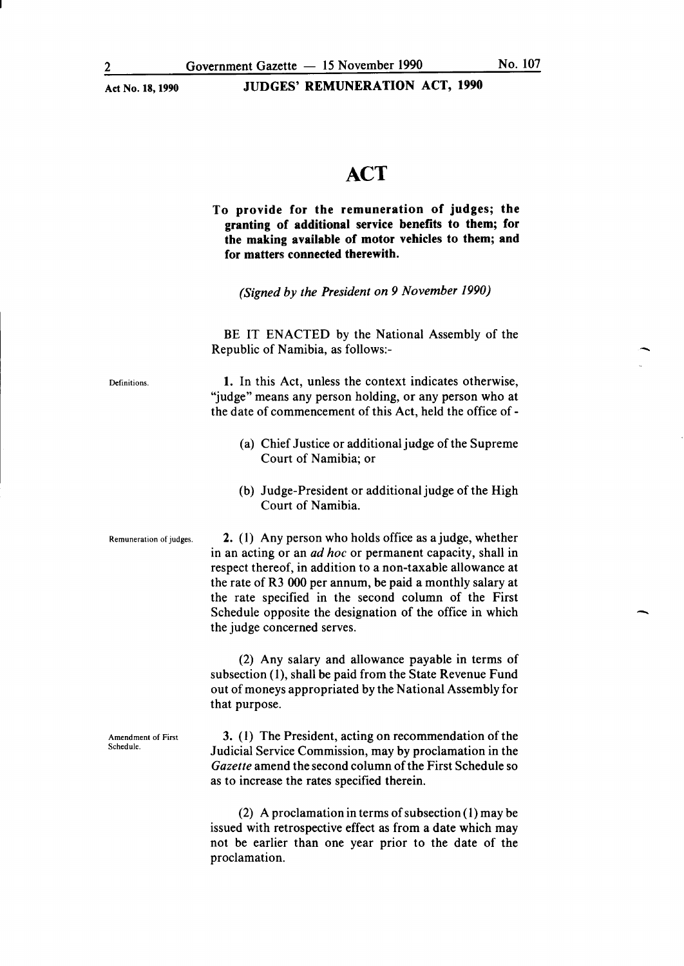#### Act No. 18,1990 JUDGES' REMUNERATION ACT, 1990

## ACT

To provide for the remuneration of judges; the granting of additional service benefits to them; for the making available of motor vehicles to them; and for matters connected therewith.

*(Signed by the President on 9 November 1990)* 

BE IT ENACTED by the National Assembly of the Republic of Namibia, as follows:-

**Definitions** 

1. In this Act, unless the context indicates otherwise, "judge" means any person holding, or any person who at the date of commencement of this Act, held the office of-

- (a) Chief Justice or additional judge of the Supreme Court of Namibia; or
- (b) Judge-President or additional judge of the High Court of Namibia.

Amendment of First Schedule.

Remuneration of judges. 2. (1) Any person who holds office as a judge, whether in an acting or an *ad hoc* or permanent capacity, shall in respect thereof, in addition to a non-taxable allowance at the rate of R3 000 per annum, be paid a monthly salary at the rate specified in the second column of the First Schedule opposite the designation of the office in which the judge concerned serves.

> (2) Any salary and allowance payable in terms of subsection (1), shall be paid from the State Revenue Fund out of moneys appropriated by the National Assembly for that purpose.

> 3. ( 1) The President, acting on recommendation of the Judicial Service Commission, may by proclamation in the *Gazette* amend the second column of the First Schedule so as to increase the rates specified therein.

> (2) A proclamation in terms of subsection  $(1)$  may be issued with retrospective effect as from a date which may not be earlier than one year prior to the date of the proclamation.

-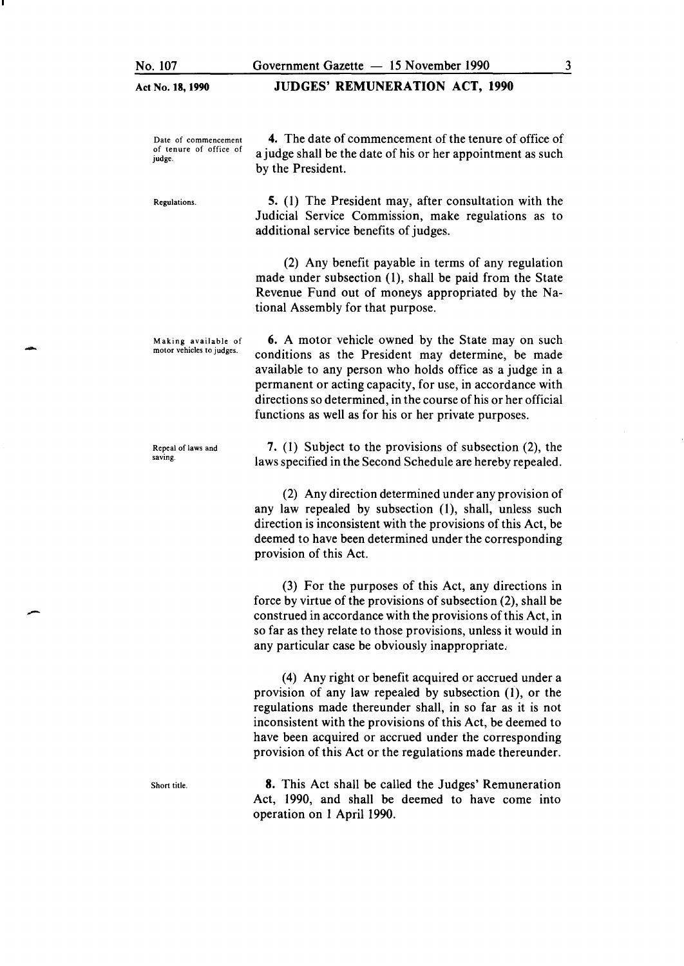-

U

-

#### Act No. 18, 1990 JUDGES' REMUNERATION ACT, 1990

| Date of commencement<br>of tenure of office of<br>judge. | 4. The date of commencement of the tenure of office of<br>a judge shall be the date of his or her appointment as such<br>by the President.                                                                                                                                                                                                                         |
|----------------------------------------------------------|--------------------------------------------------------------------------------------------------------------------------------------------------------------------------------------------------------------------------------------------------------------------------------------------------------------------------------------------------------------------|
| Regulations.                                             | 5. (1) The President may, after consultation with the<br>Judicial Service Commission, make regulations as to<br>additional service benefits of judges.                                                                                                                                                                                                             |
|                                                          | (2) Any benefit payable in terms of any regulation<br>made under subsection (1), shall be paid from the State<br>Revenue Fund out of moneys appropriated by the Na-<br>tional Assembly for that purpose.                                                                                                                                                           |
| Making available of<br>motor vehicles to judges.         | <b>6.</b> A motor vehicle owned by the State may on such<br>conditions as the President may determine, be made<br>available to any person who holds office as a judge in a<br>permanent or acting capacity, for use, in accordance with<br>directions so determined, in the course of his or her official<br>functions as well as for his or her private purposes. |
| Repeal of laws and<br>saving.                            | 7. (1) Subject to the provisions of subsection (2), the<br>laws specified in the Second Schedule are hereby repealed.                                                                                                                                                                                                                                              |
|                                                          | (2) Any direction determined under any provision of<br>any law repealed by subsection (1), shall, unless such<br>direction is inconsistent with the provisions of this Act, be<br>deemed to have been determined under the corresponding<br>provision of this Act.                                                                                                 |
|                                                          | (3) For the purposes of this Act, any directions in<br>force by virtue of the provisions of subsection (2), shall be<br>construed in accordance with the provisions of this Act, in<br>so far as they relate to those provisions, unless it would in<br>any particular case be obviously inappropriate.                                                            |
|                                                          | (4) Any right or benefit acquired or accrued under a<br>provision of any law repealed by subsection $(1)$ , or the<br>regulations made thereunder shall, in so far as it is not<br>inconsistent with the provisions of this Act, be deemed to<br>have been acquired or accrued under the corresponding                                                             |

Short title.

8. This Act shall be called the Judges' Remuneration Act, 1990, and shall be deemed to have come into operation on 1 April 1990.

provision of this Act or the regulations made thereunder.